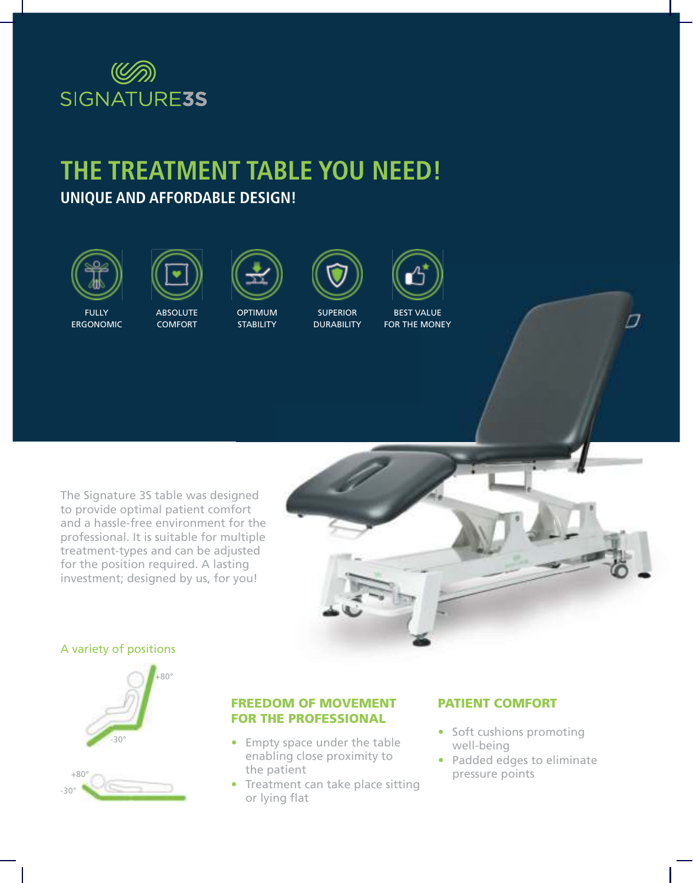

## **THE TREATMENT TABLE YOU NEED! UNIQUE AND AFFORDABLE DESIGN!**





FULLY ERGONOMIC

**ABSOLUTE** COMFORT

OPTIMUM **STABILITY** 



**DURABILITY** 



FOR THE MONEY

The Signature 3S table was designed to provide optimal patient comfort and a hassle-free environment for the professional. It is suitable for multiple treatment-types and can be adjusted for the position required. A lasting investment; designed by us, for you!



#### A variety of positions



#### FREEDOM OF MOVEMENT FOR THE PROFESSIONAL

- Empty space under the table enabling close proximity to the patient
- Treatment can take place sitting or lying flat

#### PATIENT COMFORT

• Soft cushions promoting well-being

Π

• Padded edges to eliminate pressure points